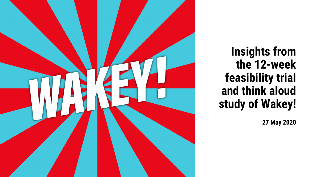

**Insights from the 12-week feasibility trial and think aloud study of Wakey!**

**27 May 2020**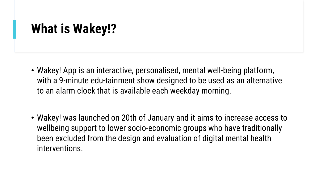### **What is Wakey!?**

- Wakey! App is an interactive, personalised, mental well-being platform, with a 9-minute edu-tainment show designed to be used as an alternative to an alarm clock that is available each weekday morning.
- Wakey! was launched on 20th of January and it aims to increase access to wellbeing support to lower socio-economic groups who have traditionally been excluded from the design and evaluation of digital mental health interventions.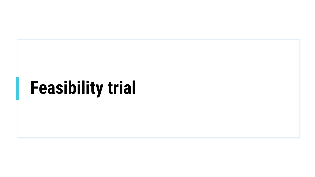# **Feasibility trial**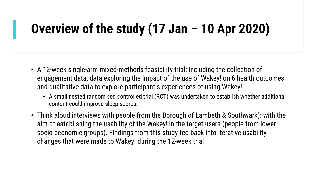# **Overview of the study (17 Jan – 10 Apr 2020)**

- A 12-week single-arm mixed-methods feasibility trial: including the collection of engagement data, data exploring the impact of the use of Wakey! on 6 health outcomes and qualitative data to explore participant's experiences of using Wakey!
	- A small nested randomised controlled trial (RCT) was undertaken to establish whether additional content could improve sleep scores.
- Think aloud interviews with people from the Borough of Lambeth & Southwark): with the aim of establishing the usability of the Wakey! in the target users (people from lower socio-economic groups). Findings from this study fed back into iterative usability changes that were made to Wakey! during the 12-week trial.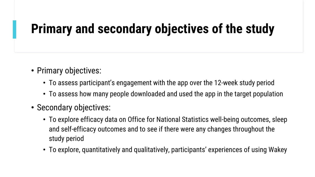# **Primary and secondary objectives of the study**

- Primary objectives:
	- To assess participant's engagement with the app over the 12-week study period
	- To assess how many people downloaded and used the app in the target population
- Secondary objectives:
	- To explore efficacy data on Office for National Statistics well-being outcomes, sleep and self-efficacy outcomes and to see if there were any changes throughout the study period
	- To explore, quantitatively and qualitatively, participants' experiences of using Wakey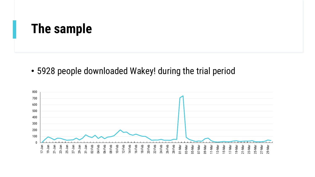#### **The sample**

• 5928 people downloaded Wakey! during the trial period

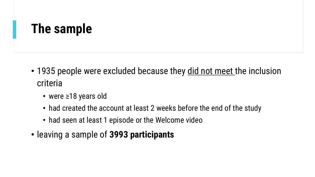### **The sample**

- 1935 people were excluded because they did not meet the inclusion criteria
	- were ≥18 years old
	- had created the account at least 2 weeks before the end of the study
	- had seen at least 1 episode or the Welcome video
- leaving a sample of **3993 participants**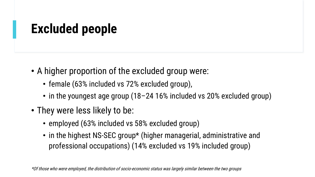# **Excluded people**

- A higher proportion of the excluded group were:
	- female (63% included vs 72% excluded group),
	- in the youngest age group (18–24 16% included vs 20% excluded group)
- They were less likely to be:
	- employed (63% included vs 58% excluded group)
	- in the highest NS-SEC group\* (higher managerial, administrative and professional occupations) (14% excluded vs 19% included group)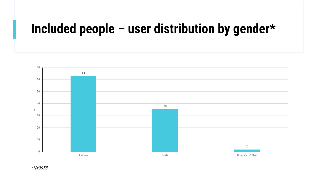### **Included people – user distribution by gender\***

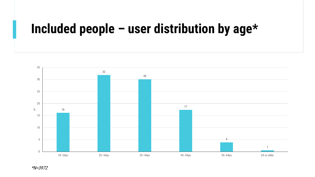#### **Included people – user distribution by age\***

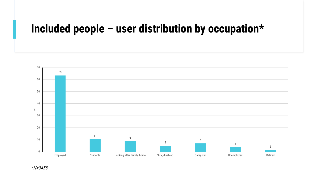#### **Included people – user distribution by occupation\***

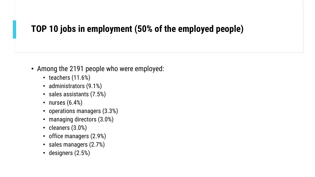#### **TOP 10 jobs in employment (50% of the employed people)**

- Among the 2191 people who were employed:
	- teachers (11.6%)
	- administrators (9.1%)
	- sales assistants (7.5%)
	- nurses  $(6.4%)$
	- operations managers (3.3%)
	- managing directors (3.0%)
	- cleaners (3.0%)
	- office managers (2.9%)
	- sales managers (2.7%)
	- designers (2.5%)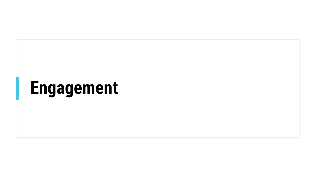# **Engagement**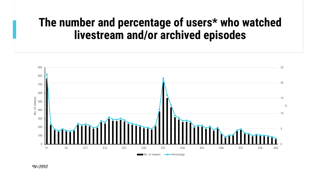#### **The number and percentage of users\* who watched livestream and/or archived episodes**

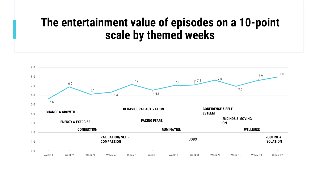#### **The entertainment value of episodes on a 10-point scale by themed weeks**

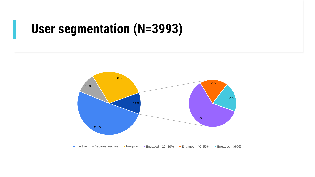#### **User segmentation (N=3993)**



■ Inactive Became inactive Irregular Bengaged - 20-39% Bengaged - 40-59% Bengaged - ≥60%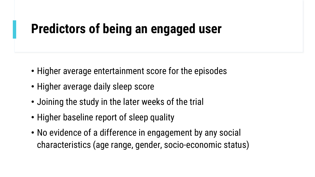# **Predictors of being an engaged user**

- Higher average entertainment score for the episodes
- Higher average daily sleep score
- Joining the study in the later weeks of the trial
- Higher baseline report of sleep quality
- No evidence of a difference in engagement by any social characteristics (age range, gender, socio-economic status)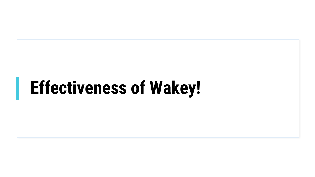# **Effectiveness of Wakey!**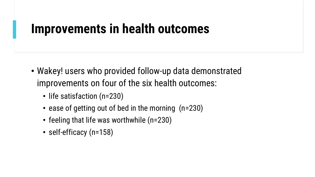#### **Improvements in health outcomes**

- Wakey! users who provided follow-up data demonstrated improvements on four of the six health outcomes:
	- life satisfaction (n=230)
	- ease of getting out of bed in the morning (n=230)
	- feeling that life was worthwhile (n=230)
	- self-efficacy (n=158)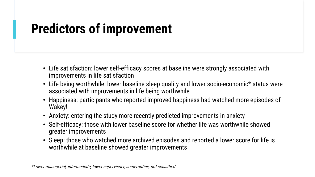# **Predictors of improvement**

- Life satisfaction: lower self-efficacy scores at baseline were strongly associated with improvements in life satisfaction
- Life being worthwhile: lower baseline sleep quality and lower socio-economic\* status were associated with improvements in life being worthwhile
- Happiness: participants who reported improved happiness had watched more episodes of Wakey!
- Anxiety: entering the study more recently predicted improvements in anxiety
- Self-efficacy: those with lower baseline score for whether life was worthwhile showed greater improvements
- Sleep: those who watched more archived episodes and reported a lower score for life is worthwhile at baseline showed greater improvements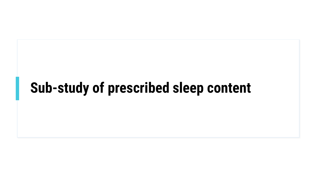# **Sub-study of prescribed sleep content**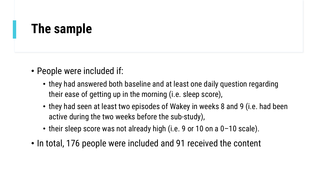#### **The sample**

- People were included if:
	- they had answered both baseline and at least one daily question regarding their ease of getting up in the morning (i.e. sleep score),
	- they had seen at least two episodes of Wakey in weeks 8 and 9 (i.e. had been active during the two weeks before the sub-study),
	- their sleep score was not already high (i.e. 9 or 10 on a 0-10 scale).
- In total, 176 people were included and 91 received the content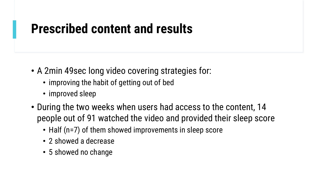### **Prescribed content and results**

- A 2min 49sec long video covering strategies for:
	- improving the habit of getting out of bed
	- improved sleep
- During the two weeks when users had access to the content, 14 people out of 91 watched the video and provided their sleep score
	- Half (n=7) of them showed improvements in sleep score
	- 2 showed a decrease
	- 5 showed no change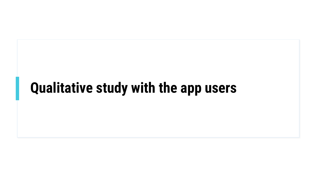# **Qualitative study with the app users**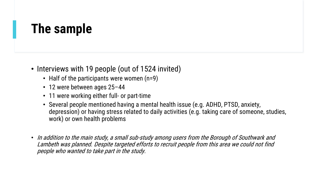### **The sample**

- Interviews with 19 people (out of 1524 invited)
	- Half of the participants were women (n=9)
	- 12 were between ages 25–44
	- 11 were working either full- or part-time
	- Several people mentioned having a mental health issue (e.g. ADHD, PTSD, anxiety, depression) or having stress related to daily activities (e.g. taking care of someone, studies, work) or own health problems
- In addition to the main study, a small sub-study among users from the Borough of Southwark and Lambeth was planned. Despite targeted efforts to recruit people from this area we could not find people who wanted to take part in the study.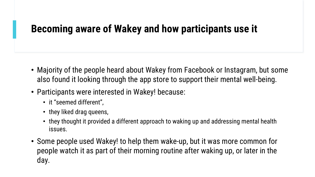#### **Becoming aware of Wakey and how participants use it**

- Majority of the people heard about Wakey from Facebook or Instagram, but some also found it looking through the app store to support their mental well-being.
- Participants were interested in Wakey! because:
	- it "seemed different",
	- they liked drag queens,
	- they thought it provided a different approach to waking up and addressing mental health issues.
- Some people used Wakey! to help them wake-up, but it was more common for people watch it as part of their morning routine after waking up, or later in the day.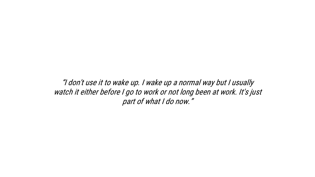"I don't use it to wake up. I wake up a normal way but I usually watch it either before I go to work or not long been at work. It's just part of what I do now."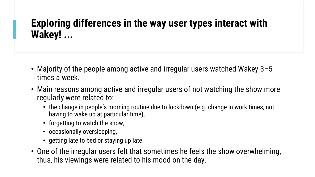#### **Exploring differences in the way user types interact with Wakey! ...**

- Majority of the people among active and irregular users watched Wakey 3–5 times a week.
- Main reasons among active and irregular users of not watching the show more regularly were related to:
	- the change in people's morning routine due to lockdown (e.g. change in work times, not having to wake up at particular time),
	- forgetting to watch the show,
	- occasionally oversleeping,
	- getting late to bed or staying up late.
- One of the irregular users felt that sometimes he feels the show overwhelming, thus, his viewings were related to his mood on the day.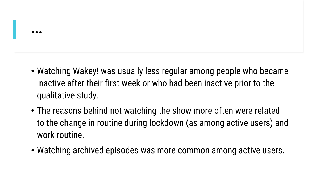- Watching Wakey! was usually less regular among people who became inactive after their first week or who had been inactive prior to the qualitative study.
- The reasons behind not watching the show more often were related to the change in routine during lockdown (as among active users) and work routine.
- Watching archived episodes was more common among active users.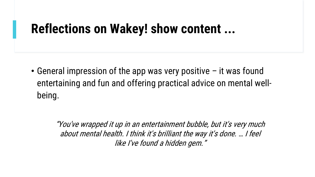#### **Reflections on Wakey! show content ...**

• General impression of the app was very positive – it was found entertaining and fun and offering practical advice on mental wellbeing.

> "You've wrapped it up in an entertainment bubble, but it's very much about mental health. I think it's brilliant the way it's done. … I feel like I've found a hidden gem."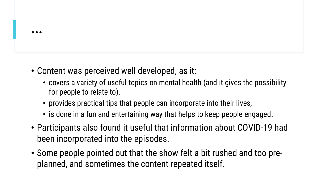- Content was perceived well developed, as it:
	- covers a variety of useful topics on mental health (and it gives the possibility for people to relate to),
	- provides practical tips that people can incorporate into their lives,
	- is done in a fun and entertaining way that helps to keep people engaged.
- Participants also found it useful that information about COVID-19 had been incorporated into the episodes.
- Some people pointed out that the show felt a bit rushed and too preplanned, and sometimes the content repeated itself.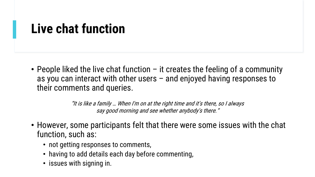### **Live chat function**

• People liked the live chat function – it creates the feeling of a community as you can interact with other users – and enjoyed having responses to their comments and queries.

> "It is like a family … When I'm on at the right time and it's there, so I always say good morning and see whether anybody's there."

- However, some participants felt that there were some issues with the chat function, such as:
	- not getting responses to comments,
	- having to add details each day before commenting,
	- issues with signing in.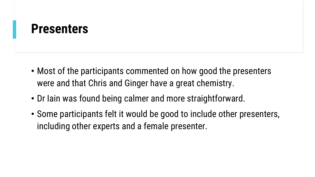#### **Presenters**

- Most of the participants commented on how good the presenters were and that Chris and Ginger have a great chemistry.
- Dr Iain was found being calmer and more straightforward.
- Some participants felt it would be good to include other presenters, including other experts and a female presenter.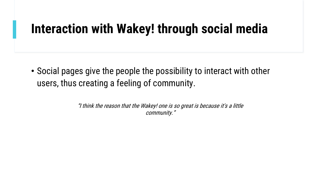#### **Interaction with Wakey! through social media**

• Social pages give the people the possibility to interact with other users, thus creating a feeling of community.

> "I think the reason that the Wakey! one is so great is because it's a little community."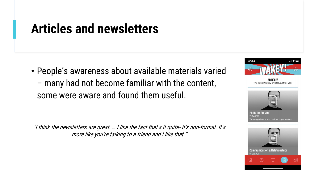#### **Articles and newsletters**

• People's awareness about available materials varied – many had not become familiar with the content, some were aware and found them useful.

"I think the newsletters are great. … I like the fact that's it quite- it's non-formal. It's more like you're talking to a friend and I like that."



**ARTICLES** The latest Wakey articles, just for you!



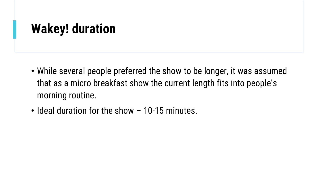## **Wakey! duration**

- While several people preferred the show to be longer, it was assumed that as a micro breakfast show the current length fits into people's morning routine.
- Ideal duration for the show 10-15 minutes.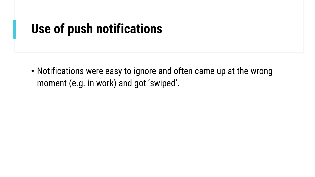#### **Use of push notifications**

• Notifications were easy to ignore and often came up at the wrong moment (e.g. in work) and got 'swiped'.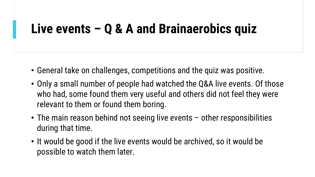### **Live events – Q & A and Brainaerobics quiz**

- General take on challenges, competitions and the quiz was positive.
- Only a small number of people had watched the Q&A live events. Of those who had, some found them very useful and others did not feel they were relevant to them or found them boring.
- The main reason behind not seeing live events other responsibilities during that time.
- It would be good if the live events would be archived, so it would be possible to watch them later.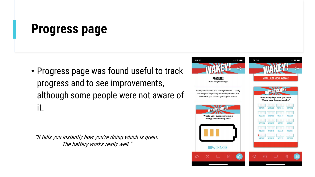### **Progress page**

• Progress page was found useful to track progress and to see improvements, although some people were not aware of it.

"It tells you instantly how you're doing which is great. The battery works really well."

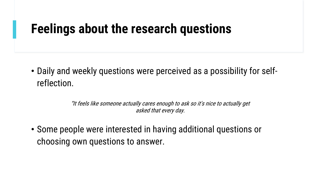#### **Feelings about the research questions**

• Daily and weekly questions were perceived as a possibility for selfreflection.

> "It feels like someone actually cares enough to ask so it's nice to actually get asked that every day.

• Some people were interested in having additional questions or choosing own questions to answer.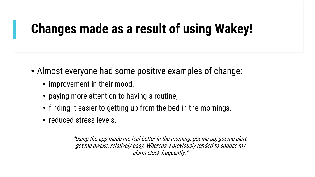# **Changes made as a result of using Wakey!**

- Almost everyone had some positive examples of change:
	- improvement in their mood,
	- paying more attention to having a routine,
	- finding it easier to getting up from the bed in the mornings,
	- reduced stress levels.

"Using the app made me feel better in the morning, got me up, got me alert, got me awake, relatively easy. Whereas, I previously tended to snooze my alarm clock frequently."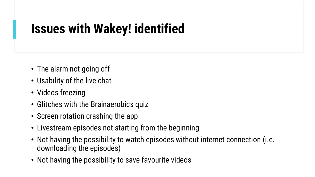# **Issues with Wakey! identified**

- The alarm not going off
- Usability of the live chat
- Videos freezing
- Glitches with the Brainaerobics quiz
- Screen rotation crashing the app
- Livestream episodes not starting from the beginning
- Not having the possibility to watch episodes without internet connection (i.e. downloading the episodes)
- Not having the possibility to save favourite videos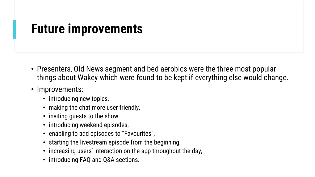#### **Future improvements**

- Presenters, Old News segment and bed aerobics were the three most popular things about Wakey which were found to be kept if everything else would change.
- Improvements:
	- introducing new topics,
	- making the chat more user friendly,
	- inviting guests to the show,
	- introducing weekend episodes,
	- enabling to add episodes to "Favourites",
	- starting the livestream episode from the beginning,
	- increasing users' interaction on the app throughout the day,
	- introducing FAQ and Q&A sections.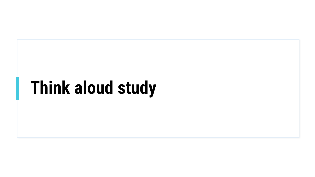# **Think aloud study**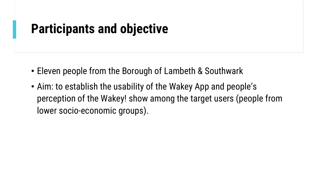### **Participants and objective**

- Eleven people from the Borough of Lambeth & Southwark
- Aim: to establish the usability of the Wakey App and people's perception of the Wakey! show among the target users (people from lower socio-economic groups).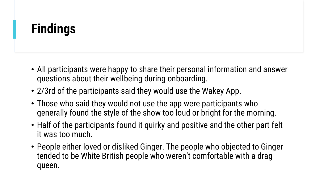# **Findings**

- All participants were happy to share their personal information and answer questions about their wellbeing during onboarding.
- 2/3rd of the participants said they would use the Wakey App.
- Those who said they would not use the app were participants who generally found the style of the show too loud or bright for the morning.
- Half of the participants found it quirky and positive and the other part felt it was too much.
- People either loved or disliked Ginger. The people who objected to Ginger tended to be White British people who weren't comfortable with a drag queen.